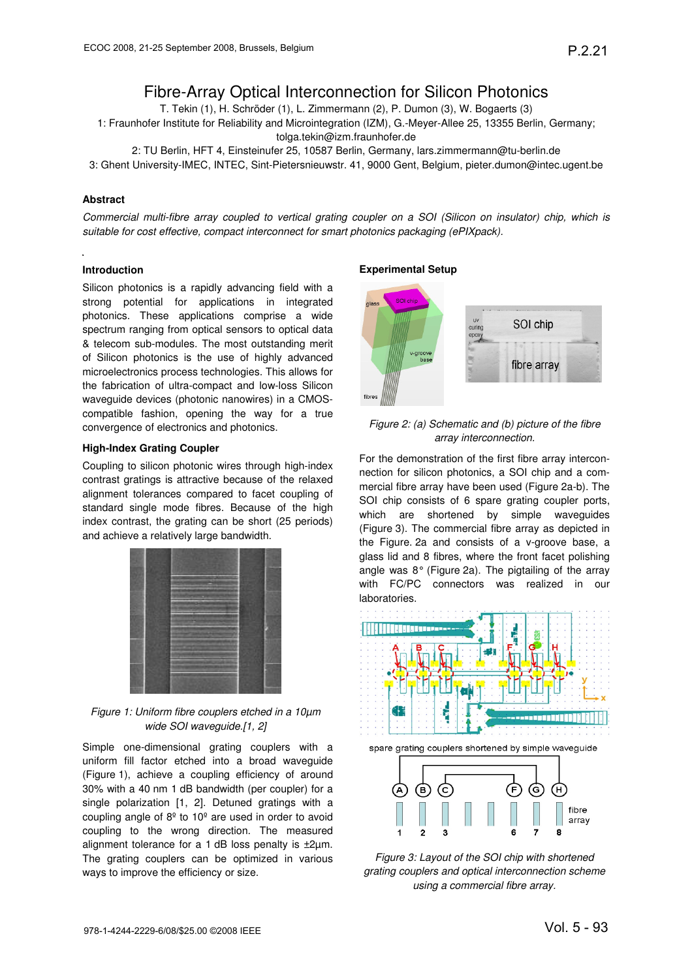# Fibre-Array Optical Interconnection for Silicon Photonics

T. Tekin (1), H. Schröder (1), L. Zimmermann (2), P. Dumon (3), W. Bogaerts (3)

1: Fraunhofer Institute for Reliability and Microintegration (IZM), G.-Meyer-Allee 25, 13355 Berlin, Germany; tolga.tekin@izm.fraunhofer.de

2: TU Berlin, HFT 4, Einsteinufer 25, 10587 Berlin, Germany, lars.zimmermann@tu-berlin.de 3: Ghent University-IMEC, INTEC, Sint-Pietersnieuwstr. 41, 9000 Gent, Belgium, pieter.dumon@intec.ugent.be

### **Abstract**

Commercial multi-fibre array coupled to vertical grating coupler on a SOI (Silicon on insulator) chip, which is suitable for cost effective, compact interconnect for smart photonics packaging (ePIXpack).

#### **Introduction**

Silicon photonics is a rapidly advancing field with a strong potential for applications in integrated photonics. These applications comprise a wide spectrum ranging from optical sensors to optical data & telecom sub-modules. The most outstanding merit of Silicon photonics is the use of highly advanced microelectronics process technologies. This allows for the fabrication of ultra-compact and low-loss Silicon waveguide devices (photonic nanowires) in a CMOScompatible fashion, opening the way for a true convergence of electronics and photonics.

#### **High-Index Grating Coupler**

Coupling to silicon photonic wires through high-index contrast gratings is attractive because of the relaxed alignment tolerances compared to facet coupling of standard single mode fibres. Because of the high index contrast, the grating can be short (25 periods) and achieve a relatively large bandwidth.



Figure 1: Uniform fibre couplers etched in a 10µm wide SOI waveguide.[1, 2]

Simple one-dimensional grating couplers with a uniform fill factor etched into a broad waveguide (Figure 1), achieve a coupling efficiency of around 30% with a 40 nm 1 dB bandwidth (per coupler) for a single polarization [1, 2]. Detuned gratings with a coupling angle of  $8^{\circ}$  to 10<sup>°</sup> are used in order to avoid coupling to the wrong direction. The measured alignment tolerance for a 1 dB loss penalty is  $\pm 2\mu$ m. The grating couplers can be optimized in various ways to improve the efficiency or size.

#### **Experimental Setup**



## Figure 2: (a) Schematic and (b) picture of the fibre array interconnection.

For the demonstration of the first fibre array interconnection for silicon photonics, a SOI chip and a commercial fibre array have been used (Figure 2a-b). The SOI chip consists of 6 spare grating coupler ports, which are shortened by simple waveguides (Figure 3). The commercial fibre array as depicted in the Figure. 2a and consists of a v-groove base, a glass lid and 8 fibres, where the front facet polishing angle was 8° (Figure 2a). The pigtailing of the array with FC/PC connectors was realized in our laboratories.



Figure 3: Layout of the SOI chip with shortened grating couplers and optical interconnection scheme using a commercial fibre array.